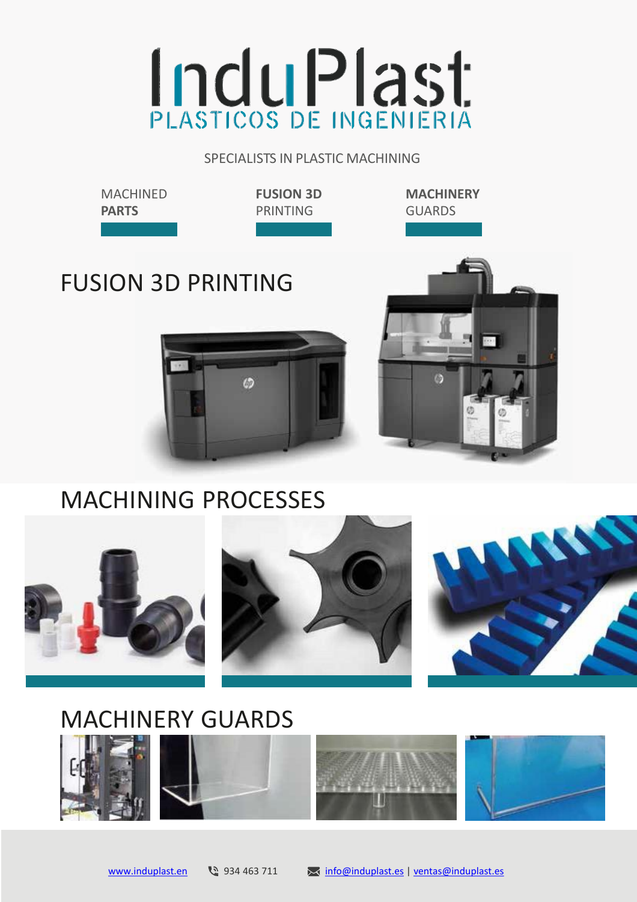# **InduPlast**

SPECIALISTS IN PLASTIC MACHINING

**MACHINED PARTS**

**FUSION 3D** PRINTING

**MACHINERY** GUARDS

# FUSION 3D PRINTING





### MACHINING PROCESSES



## MACHINERY GUARDS







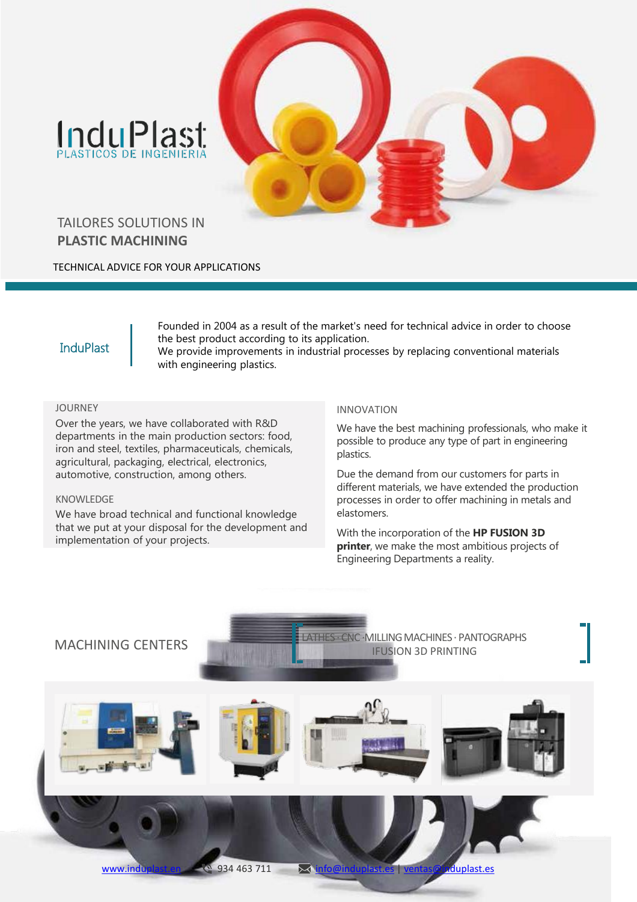# InduPlast



#### TAILORES SOLUTIONS IN **PLASTIC MACHINING**

TECHNICAL ADVICE FOR YOUR APPLICATIONS

#### **InduPlast**

Founded in 2004 as a result of the market's need for technical advice in order to choose the best product according to its application.

We provide improvements in industrial processes by replacing conventional materials with engineering plastics.

#### JOURNEY

Over the years, we have collaborated with R&D departments in the main production sectors: food, iron and steel, textiles, pharmaceuticals, chemicals, agricultural, packaging, electrical, electronics, automotive, construction, among others.

#### KNOWLEDGE

We have broad technical and functional knowledge that we put at your disposal for the development and implementation of your projects.

#### INNOVATION

We have the best machining professionals, who make it possible to produce any type of part in engineering plastics.

Due the demand from our customers for parts in different materials, we have extended the production processes in order to offer machining in metals and elastomers.

With the incorporation of the **HP FUSION 3D printer**, we make the most ambitious projects of Engineering Departments a reality.

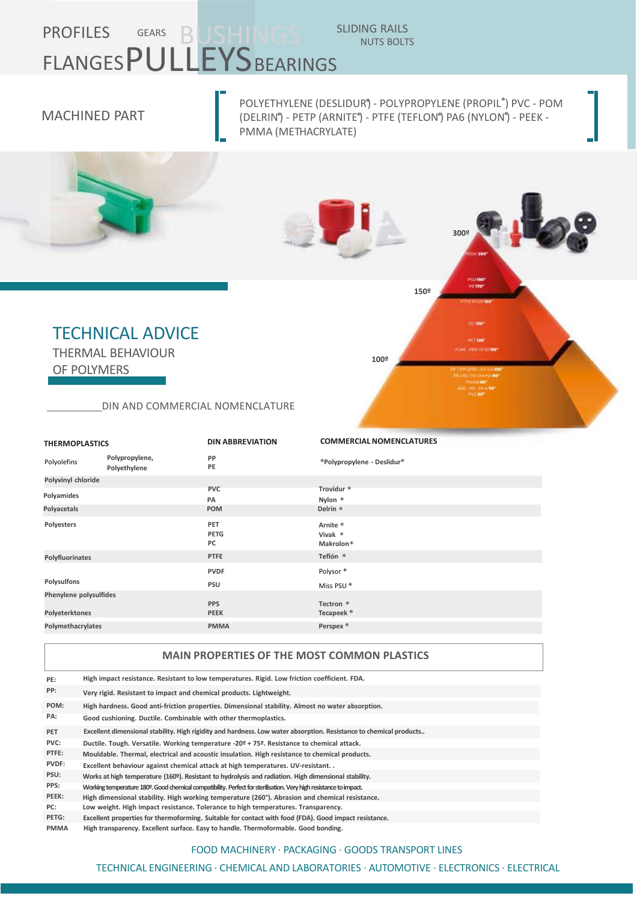# PROFILES GEARS BUSHINGS SLIDING RAILS FLANGES PULLEYS BEARINGS

#### MACHINED PART

POLYETHYLENE (DESLIDUR **®** ) - POLYPROPYLENE (PROPIL **®** ) PVC - POM (DELRIN**®** ) - PETP (ARNITE **®** ) - PTFE (TEFLON**®** ) PA6 (NYLON**®** ) - PEEK - PMMA (METHACRYLATE)

NUTS BOLTS

**300º**

**150º**

**100º**



#### TECHNICAL ADVICE

THERMAL BEHAVIOUR OF POLYMERS

DIN AND COMMERCIAL NOMENCLATURE

| <b>THERMOPLASTICS</b>  |                                | <b>DIN ABBREVIATION</b>   | <b>COMMERCIAL NOMENCLATURES</b>               |  |
|------------------------|--------------------------------|---------------------------|-----------------------------------------------|--|
| Polyolefins            | Polypropylene,<br>Polyethylene | PP<br>PE                  | ®Polypropylene - Deslidur®                    |  |
| Polyvinyl chloride     |                                |                           |                                               |  |
|                        |                                | <b>PVC</b>                | Trovidur <sup>®</sup>                         |  |
| Polyamides             |                                | PA                        | Nylon <sup>®</sup>                            |  |
| Polyacetals            |                                | <b>POM</b>                | Delrin <sup>®</sup>                           |  |
| Polyesters             |                                | PET<br><b>PETG</b><br>PC  | Arnite ®<br>Vivak ®<br>Makrolon <sup>®</sup>  |  |
| Polyfluorinates        |                                | <b>PTFE</b>               | Teflón ®                                      |  |
| Polysulfons            |                                | <b>PVDF</b><br>PSU        | Polysor <sup>®</sup><br>Miss PSU <sup>®</sup> |  |
| Phenylene polysulfides |                                |                           |                                               |  |
| Polyeterktones         |                                | <b>PPS</b><br><b>PEEK</b> | Tectron <sup>®</sup><br>Tecapeek <sup>®</sup> |  |
| Polymethacrylates      |                                | <b>PMMA</b>               | Perspex <sup>®</sup>                          |  |
|                        |                                |                           |                                               |  |

#### **MAIN PROPERTIES OF THE MOST COMMON PLASTICS**

| PE:         | High impact resistance. Resistant to low temperatures. Rigid. Low friction coefficient. FDA.                       |
|-------------|--------------------------------------------------------------------------------------------------------------------|
| PP:         | Very rigid. Resistant to impact and chemical products. Lightweight.                                                |
| POM:        | High hardness. Good anti-friction properties. Dimensional stability. Almost no water absorption.                   |
| PA:         | Good cushioning. Ductile. Combinable with other thermoplastics.                                                    |
| <b>PET</b>  | Excellent dimensional stability. High rigidity and hardness. Low water absorption. Resistance to chemical products |
| PVC:        | Ductile. Tough. Versatile. Working temperature -20º + 75º. Resistance to chemical attack.                          |
| PTFE:       | Mouldable. Thermal, electrical and acoustic insulation. High resistance to chemical products.                      |
| PVDF:       | Excellent behaviour against chemical attack at high temperatures. UV-resistant                                     |
| PSU:        | Works at high temperature (160º). Resistant to hydrolysis and radiation. High dimensional stability.               |
| PPS:        | Working temperature 180º. Good chemical compatibility. Perfect for sterilisation. Very high resistance to impact.  |
| PEEK:       | High dimensional stability. High working temperature (260°). Abrasion and chemical resistance.                     |
| PC:         | Low weight. High impact resistance. Tolerance to high temperatures. Transparency.                                  |
| PETG:       | Excellent properties for thermoforming. Suitable for contact with food (FDA). Good impact resistance.              |
| <b>PMMA</b> | High transparency. Excellent surface. Easy to handle. Thermoformable. Good bonding.                                |

#### FOOD MACHINERY · PACKAGING · GOODS TRANSPORT LINES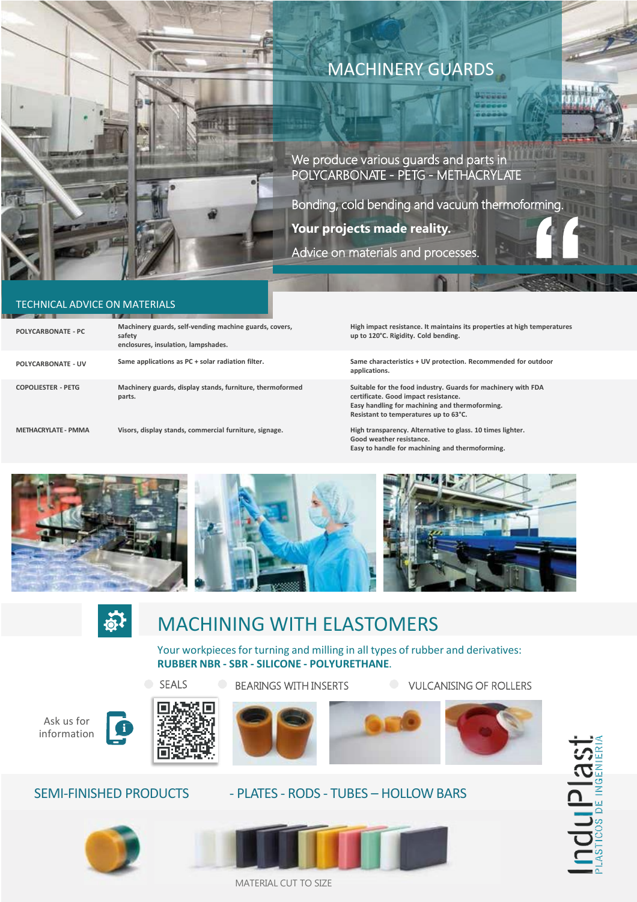

#### MACHINERY GUARDS

We produce various guards and parts in POLYCARBONATE - PETG - METHACRYLATE

Bonding, cold bending and vacuum thermoforming. **Your projects made reality.**

Advice on materials and processes.

#### TECHNICAL ADVICE ON MATERIALS

| Machinery guards, self-vending machine guards, covers,<br>safety<br>enclosures, insulation, lampshades. |
|---------------------------------------------------------------------------------------------------------|
| Same applications as PC + solar radiation filter.                                                       |
| Machinery guards, display stands, furniture, thermoformed<br>parts.                                     |
|                                                                                                         |

**METHACRYLATE - PMMA**

**High impact resistance. It maintains its properties at high temperatures**   $up$  to 120°C. Rigidity. Cold bending.

**Same characteristics + UV protection. Recommended for outdoor applications.**

**Suitable for the food industry. Guards for machinery with FDA certificate. Good impact resistance. Easy handling for machining and thermoforming. Resistant to temperatures up to 63°C.**

**Visors, display stands, commercial furniture, signage. High transparency. Alternative to glass. 10 times lighter. Good weather resistance. Easy to handle for machining and thermoforming.**





Œ

#### MACHINING WITH ELASTOMERS

Your workpieces for turning and milling in all types of rubber and derivatives: **RUBBER NBR - SBR - SILICONE - POLYURETHANE**.

Ask us for information



SEALS



BEARINGS WITH INSERTS **DEARING** OF ROLLERS











#### SEMI-FINISHED PRODUCTS - PLATES - RODS - TUBES - HOLLOW BARS



MATERIAL CUT TO SIZE

**nduple as:**<br>Astros de MGENIER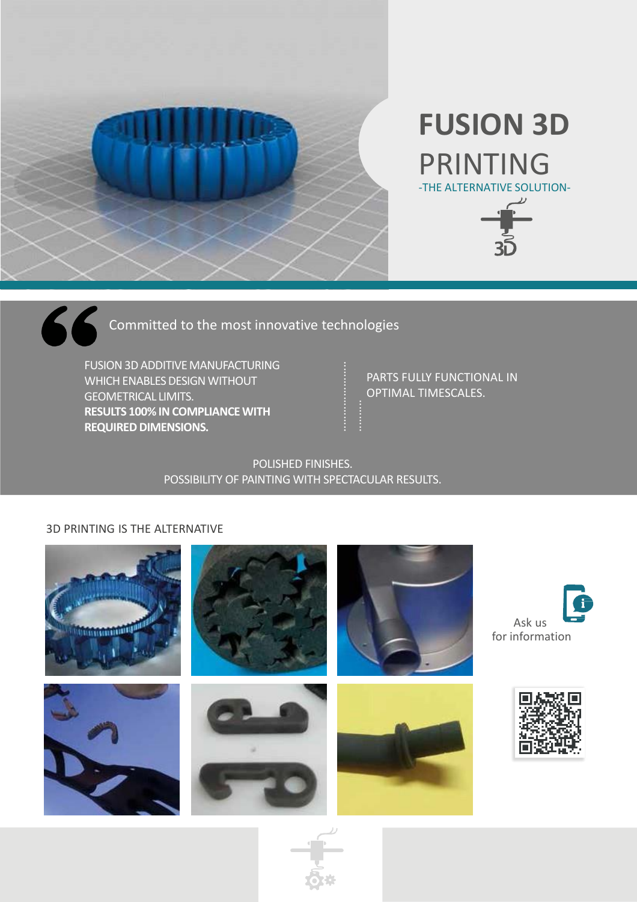

# **FUSION 3D**  PRINTING -THE ALTERNATIVE SOLUTION-



Committed to the most innovative technologies

FUSION 3D ADDITIVE MANUFACTURING WHICH ENABLES DESIGN WITHOUT GEOMETRICAL LIMITS. **RESULTS 100% IN COMPLIANCE WITH REQUIRED DIMENSIONS.**

PARTS FULLY FUNCTIONAL IN OPTIMAL TIMESCALES.

#### POLISHED FINISHES. POSSIBILITY OF PAINTING WITH SPECTACULAR RESULTS.

#### 3D PRINTING IS THE ALTERNATIVE

 $\boldsymbol{\mathcal{L}}$  ,